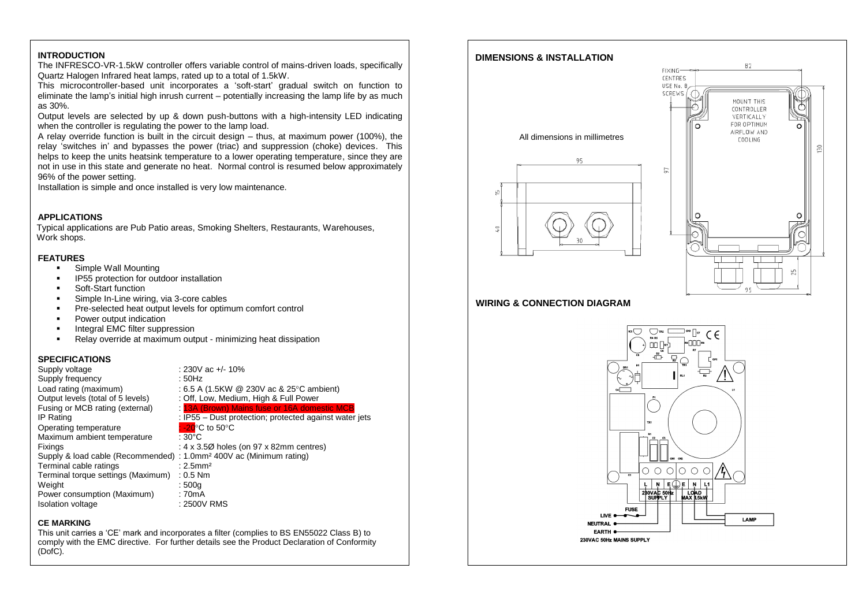### **INTRODUCTION**

The INFRESCO-VR-1.5kW controller offers variable control of mains-driven loads, specifically Quartz Halogen Infrared heat lamps, rated up to a total of 1.5kW.

This microcontroller-based unit incorporates a 'soft-start' gradual switch on function to eliminate the lamp's initial high inrush current – potentially increasing the lamp life by as much as 30%.

Output levels are selected by up & down push-buttons with a high-intensity LED indicating when the controller is regulating the power to the lamp load.

A relay override function is built in the circuit design – thus, at maximum power (100%), the relay 'switches in' and bypasses the power (triac) and suppression (choke) devices. This helps to keep the units heatsink temperature to a lower operating temperature, since they are not in use in this state and generate no heat. Normal control is resumed below approximately 96% of the power setting.

Installation is simple and once installed is very low maintenance.

#### **APPLICATIONS**

Typical applications are Pub Patio areas, Smoking Shelters, Restaurants, Warehouses, Work shops.

#### **FEATURES**

- **Simple Wall Mounting**
- IP55 protection for outdoor installation
- Soft-Start function
- Simple In-Line wiring, via 3-core cables
- Pre-selected heat output levels for optimum comfort control
- **Power output indication**
- **Integral EMC filter suppression**
- Relay override at maximum output minimizing heat dissipation

#### **SPECIFICATIONS**

| Supply voltage                                                                  | : 230V ac $+/- 10\%$                                   |
|---------------------------------------------------------------------------------|--------------------------------------------------------|
| Supply frequency                                                                | : 50Hz                                                 |
| Load rating (maximum)                                                           | : 6.5 A (1.5KW $\circledR$ 230V ac & 25 °C ambient)    |
| Output levels (total of 5 levels)                                               | : Off, Low, Medium, High & Full Power                  |
| Fusing or MCB rating (external)                                                 | : 13A (Brown) Mains fuse or 16A domestic MCB           |
| IP Rating                                                                       | : IP55 – Dust protection; protected against water jets |
| Operating temperature                                                           | $\mathsf{L}\text{-}20^\circ\text{C}$ to 50°C           |
| Maximum ambient temperature                                                     | : 30°C                                                 |
| Fixings                                                                         | : $4 \times 3.5\%$ holes (on 97 x 82mm centres)        |
| Supply & load cable (Recommended) : 1.0mm <sup>2</sup> 400V ac (Minimum rating) |                                                        |
| Terminal cable ratings                                                          | $: 2.5$ mm <sup>2</sup>                                |
| Terminal torque settings (Maximum)                                              | $: 0.5$ Nm                                             |
| Weight                                                                          | :500q                                                  |
| Power consumption (Maximum)                                                     | : 70mA                                                 |
| Isolation voltage                                                               | : 2500V RMS                                            |

#### **CE MARKING**

This unit carries a 'CE' mark and incorporates a filter (complies to BS EN55022 Class B) to comply with the EMC directive. For further details see the Product Declaration of Conformity (DofC).